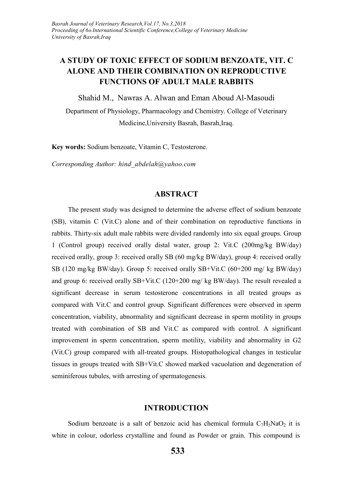## **A STUDY OF TOXIC EFFECT OF SODIUM BENZOATE, VIT. C ALONE AND THEIR COMBINATION ON REPRODUCTIVE FUNCTIONS OF ADULT MALE RABBITS**

Shahid M., Nawras A. Alwan and Eman Aboud Al-Masoudi

Department of Physiology, Pharmacology and Chemistry. College of Veterinary Medicine,University Basrah, Basrah,Iraq.

**Key words:** Sodium benzoate, Vitamin C, Testosterone.

*Corresponding Author: hind\_abdelah@yahoo.com*

#### **ABSTRACT**

The present study was designed to determine the adverse effect of sodium benzoate (SB), vitamin C (Vit.C) alone and of their combination on reproductive functions in rabbits. Thirty-six adult male rabbits were divided randomly into six equal groups. Group 1 (Control group) received orally distal water, group 2: Vit.C (200mg/kg BW/day) received orally, group 3: received orally SB (60 mg/kg BW/day), group 4: received orally SB (120 mg/kg BW/day). Group 5: received orally SB+Vit.C (60+200 mg/ kg BW/day) and group 6: received orally SB+Vit.C (120+200 mg/ kg BW/day). The result revealed a significant decrease in serum testosterone concentrations in all treated groups as compared with Vit.C and control group. Significant differences were observed in sperm concentration, viability, abnormality and significant decrease in sperm motility in groups treated with combination of SB and Vit.C as compared with control. A significant improvement in sperm concentration, sperm motility, viability and abnormality in G2 (Vit.C) group compared with all-treated groups. Histopathological changes in testicular tissues in groups treated with SB+Vit.C showed marked vacuolation and degeneration of seminiferous tubules, with arresting of spermatogenesis.

#### **INTRODUCTION**

Sodium benzoate is a salt of benzoic acid has chemical formula  $C_7H_5NaO_2$  it is white in colour, odorless crystalline and found as Powder or grain. This compound is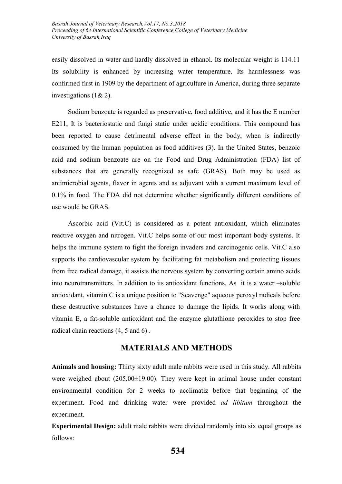easily dissolved in water and hardly dissolved in ethanol. Its molecular weight is 114.11 Its solubility is enhanced by increasing water temperature. Its harmlessness was confirmed first in 1909 by the department of agriculture in America, during three separate investigations (1& 2).

Sodium benzoate is regarded as preservative, food additive, and it has the E number E211, It is bacteriostatic and fungi static under acidic conditions. This compound has been reported to cause detrimental adverse effect in the body, when is indirectly consumed by the human population as food additives (3). In the United States, benzoic acid and sodium benzoate are on the Food and Drug Administration (FDA) list of substances that are generally recognized as safe (GRAS). Both may be used as antimicrobial agents, flavor in agents and as adjuvant with a current maximum level of 0.1% in food. The FDA did not determine whether significantly different conditions of use would be GRAS.

Ascorbic acid (Vit.C) is considered as a potent antioxidant, which eliminates reactive oxygen and nitrogen. Vit.C helps some of our most important body systems. It helps the immune system to fight the foreign invaders and carcinogenic cells. Vit.C also supports the cardiovascular system by facilitating fat metabolism and protecting tissues from free radical damage, it assists the nervous system by converting certain amino acids into neurotransmitters. In addition to its antioxidant functions, As it is a water –soluble antioxidant, vitamin C is a unique position to "Scavenge" aqueous peroxyl radicals before these destructive substances have a chance to damage the lipids. It works along with vitamin E, a fat-soluble antioxidant and the enzyme glutathione peroxides to stop free radical chain reactions (4, 5 and 6) .

#### **MATERIALS AND METHODS**

**Animals and housing:** Thirty sixty adult male rabbits were used in this study. All rabbits were weighed about (205.00 $\pm$ 19.00). They were kept in animal house under constant environmental condition for 2 weeks to acclimatiz before that beginning of the experiment. Food and drinking water were provided *ad libitum* throughout the experiment.

**Experimental Design:** adult male rabbits were divided randomly into six equal groups as follows: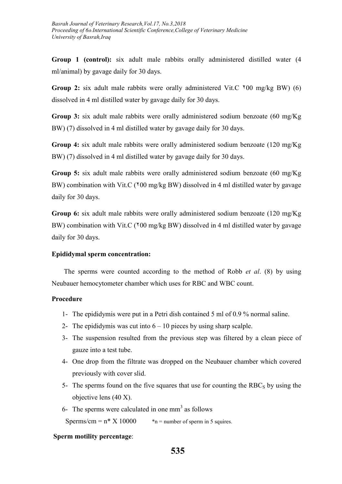**Group 1 (control):** six adult male rabbits orally administered distilled water (4 ml/animal) by gavage daily for 30 days.

**Group 2:** six adult male rabbits were orally administered Vit.C ٢00 mg/kg BW) (6) dissolved in 4 ml distilled water by gavage daily for 30 days.

**Group 3:** six adult male rabbits were orally administered sodium benzoate (60 mg/Kg BW) (7) dissolved in 4 ml distilled water by gavage daily for 30 days.

**Group 4:** six adult male rabbits were orally administered sodium benzoate (120 mg/Kg BW) (7) dissolved in 4 ml distilled water by gavage daily for 30 days.

**Group 5:** six adult male rabbits were orally administered sodium benzoate (60 mg/Kg BW) combination with Vit.C ( $\frac{100 \text{ mg}}{kg}$  BW) dissolved in 4 ml distilled water by gavage daily for 30 days.

**Group 6:** six adult male rabbits were orally administered sodium benzoate (120 mg/Kg) BW) combination with Vit.C ( $\frac{100 \text{ mg}}{kg}$  BW) dissolved in 4 ml distilled water by gavage daily for 30 days.

#### **Epididymal sperm concentration:**

The sperms were counted according to the method of Robb *et al*. (8) by using Neubauer hemocytometer chamber which uses for RBC and WBC count.

#### **Procedure**

- 1- The epididymis were put in a Petri dish contained 5 ml of 0.9 % normal saline.
- 2- The epididymis was cut into  $6 10$  pieces by using sharp scalple.
- 3- The suspension resulted from the previous step was filtered by a clean piece of gauze into a test tube.
- 4- One drop from the filtrate was dropped on the Neubauer chamber which covered previously with cover slid.
- 5- The sperms found on the five squares that use for counting the  $RBC<sub>S</sub>$  by using the objective lens (40 X).
- 6- The sperms were calculated in one  $mm<sup>3</sup>$  as follows

Sperms/cm =  $n*$  X 10000  $*$ n = number of sperm in 5 squires.

#### **Sperm motility percentage**: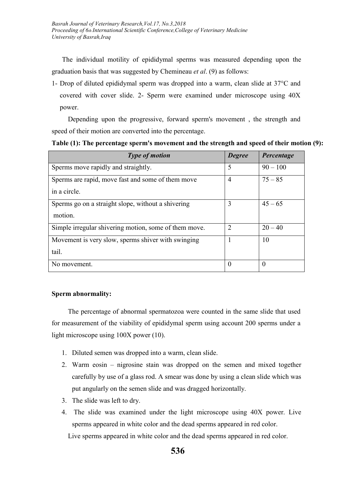The individual motility of epididymal sperms was measured depending upon the graduation basis that was suggested by Chemineau *et al*. (9) as follows:

1- Drop of diluted epididymal sperm was dropped into a warm, clean slide at 37°C and covered with cover slide. 2- Sperm were examined under microscope using 40X power.

Depending upon the progressive, forward sperm's movement , the strength and speed of their motion are converted into the percentage.

**Table (1): The percentage sperm's movement and the strength and speed of their motion (9):**

| <b>Type of motion</b>                                             | <b>Degree</b>  | Percentage |
|-------------------------------------------------------------------|----------------|------------|
| Sperms move rapidly and straightly.                               | 5              | $90 - 100$ |
| Sperms are rapid, move fast and some of them move<br>in a circle. | $\overline{4}$ | $75 - 85$  |
|                                                                   |                |            |
| Sperms go on a straight slope, without a shivering<br>motion.     | 3              | $45 - 65$  |
| Simple irregular shivering motion, some of them move.             | 2              | $20 - 40$  |
| Movement is very slow, sperms shiver with swinging<br>tail.       |                | 10         |
| No movement.                                                      | $\Omega$       | $\Omega$   |

#### **Sperm abnormality:**

The percentage of abnormal spermatozoa were counted in the same slide that used for measurement of the viability of epididymal sperm using account 200 sperms under a light microscope using 100X power (10).

- 1. Diluted semen was dropped into a warm, clean slide.
- 2. Warm eosin nigrosine stain was dropped on the semen and mixed together carefully by use of a glass rod. A smear was done by using a clean slide which was put angularly on the semen slide and was dragged horizontally.
- 3. The slide was left to dry.
- 4. The slide was examined under the light microscope using 40X power. Live sperms appeared in white color and the dead sperms appeared in red color. Live sperms appeared in white color and the dead sperms appeared in red color.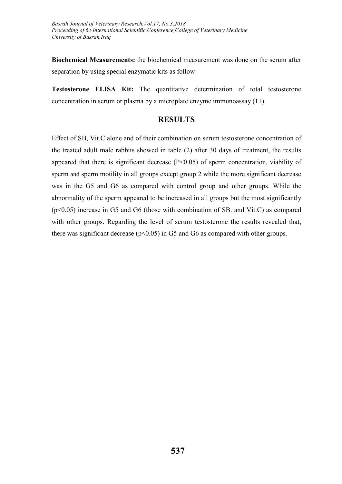**Biochemical Measurements:** the biochemical measurement was done on the serum after separation by using special enzymatic kits as follow:

**Testosterone ELISA Kit:** The quantitative determination of total testosterone concentration in serum or plasma by a microplate enzyme immunoassay (11).

### **RESULTS**

Effect of SB, Vit.C alone and of their combination on serum testosterone concentration of the treated adult male rabbits showed in table (2) after 30 days of treatment, the results appeared that there is significant decrease  $(P<0.05)$  of sperm concentration, viability of sperm and sperm motility in all groups except group 2 while the more significant decrease was in the G5 and G6 as compared with control group and other groups. While the abnormality of the sperm appeared to be increased in all groups but the most significantly (p<0.05) increase in G5 and G6 (those with combination of SB. and Vit.C) as compared with other groups. Regarding the level of serum testosterone the results revealed that, there was significant decrease ( $p<0.05$ ) in G5 and G6 as compared with other groups.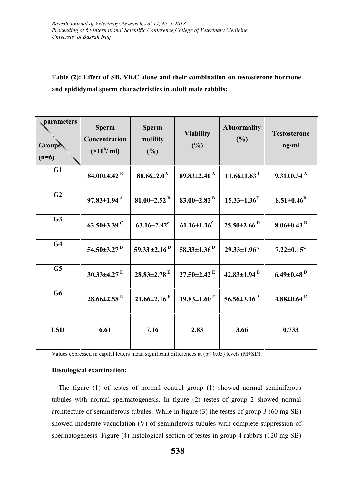# **Table (2): Effect of SB, Vit.C alone and their combination on testosterone hormone and epididymal sperm characteristics in adult male rabbits:**

| $\Box$ parameters<br><b>Groups</b><br>$(n=6)$ | <b>Sperm</b><br>Concentration<br>$(\times 10^6$ / ml) | <b>Sperm</b><br>motility<br>(%) | <b>Viability</b><br>(%)       | <b>Abnormality</b><br>(%)     | <b>Testosterone</b><br>ng/ml |
|-----------------------------------------------|-------------------------------------------------------|---------------------------------|-------------------------------|-------------------------------|------------------------------|
| G1                                            | 84.00 $\pm$ 4.42 $^{\rm B}$                           | $88.66 \pm 2.0^{\rm A}$         | $89.83 \pm 2.40^{\text{A}}$   | $11.66 \pm 1.63$ <sup>f</sup> | $9.31 \pm 0.34$ <sup>A</sup> |
| G <sub>2</sub>                                | $97.83 \pm 1.94$ <sup>A</sup>                         | 81.00 $\pm$ 2.52 $^{\rm B}$     | 83.00 $\pm$ 2.82 <sup>B</sup> | $15.33 \pm 1.36^{\mathrm{E}}$ | $8.51 \pm 0.46^B$            |
| G3                                            | 63.50 $\pm$ 3.39 <sup>C</sup>                         | $63.16 \pm 2.92$ <sup>c</sup>   | $61.16 \pm 1.16^{\circ}$      | $25.50 \pm 2.66$ <sup>D</sup> | $8.06 \pm 0.43$ <sup>B</sup> |
| G <sub>4</sub>                                | 54.50 $\pm$ 3.27 $^{\rm D}$                           | 59.33 $\pm$ 2.16 <sup>D</sup>   | 58.33 $\pm$ 1.36 <sup>D</sup> | $29.33 \pm 1.96$ <sup>c</sup> | $7.22 \pm 0.15$ <sup>C</sup> |
| G5                                            | $30.33 \pm 4.27$ <sup>E</sup>                         | $28.83 \pm 2.78$ <sup>E</sup>   | $27.50 \pm 2.42$ <sup>E</sup> | $42.83 \pm 1.94$ <sup>B</sup> | $6.49 \pm 0.48$ <sup>D</sup> |
| G <sub>6</sub>                                | $28.66 \pm 2.58$ <sup>E</sup>                         | $21.66 \pm 2.16$ <sup>F</sup>   | $19.83 \pm 1.60$ <sup>F</sup> | 56.56 $\pm$ 3.16 <sup>A</sup> | $4.88 \pm 0.64$ E            |
| <b>LSD</b>                                    | 6.61                                                  | 7.16                            | 2.83                          | 3.66                          | 0.733                        |

Values expressed in capital letters mean significant differences at (p< 0.05) levels (M±SD).

#### **Histological examination:**

 The figure (1) of testes of normal control group (1) showed normal seminiferous tubules with normal spermatogenesis. In figure (2) testes of group 2 showed normal architecture of seminiferous tubules. While in figure (3) the testes of group 3 (60 mg SB) showed moderate vacuolation (V) of seminiferous tubules with complete suppression of spermatogenesis. Figure (4) histological section of testes in group 4 rabbits (120 mg SB)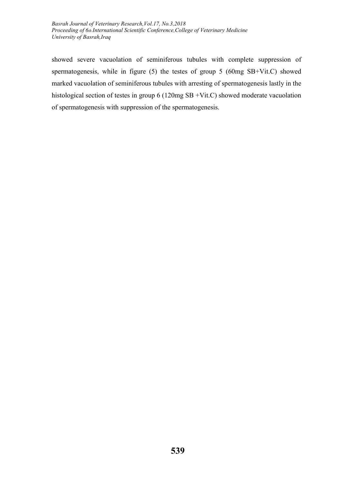*Basrah Journal of Veterinary Research,Vol.17, No.3,2018 Proceeding of 6th International Scientific Conference,College of Veterinary Medicine University of Basrah,Iraq*

showed severe vacuolation of seminiferous tubules with complete suppression of spermatogenesis, while in figure (5) the testes of group 5 (60mg SB+Vit.C) showed marked vacuolation of seminiferous tubules with arresting of spermatogenesis lastly in the histological section of testes in group 6 (120mg SB +Vit.C) showed moderate vacuolation of spermatogenesis with suppression of the spermatogenesis.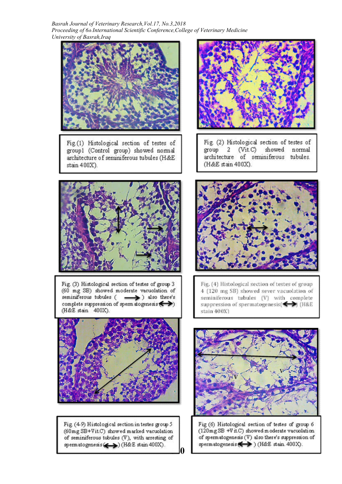*Basrah Journal of Veterinary Research,Vol.17, No.3,2018 Proceeding of 6th International Scientific Conference,College of Veterinary Medicine University of Basrah,Iraq*



Fig.(1) Histological section of testes of group1 (Control group) showed normal architecture of seminiferous tubules (H&E stain 400X).



Fig. (2) Histological section of testes of  $(Vit.C)$ showed normal group  $\overline{a}$ architecture of seminiferous tubules. (H&E stain 400X).



Fig. (3) Histological section of testes of group 3 (60 mg SB) showed moderate vacuolation of seminiferous tubules ( -> ) also there's complete suppression of sperm atogenesis  $\leftrightarrow$ ) (H&E stain 400X).



Fig. (49) Histological section in testes group 5 (60mg SB+Vit.C) showed marked vacuolation of seminiferous tubules (V), with arresting of spermatogenesis (<> > (H&E stain 400X). **540**



Fig. (4) Histological section of testes of group 4 (120 mg SB) showed sever vacuolation of seminiferous tubules (V) with complete suppression of spermatogenesis(<>>
(H&E stain 400X)



Fig (6) Histological section of testes of group 6 (120mg SB +V it.C) showed moderate vacuolation of spermatogenesis (V) also there's suppression of spermatogenesis (>>) (H&E stain 400X).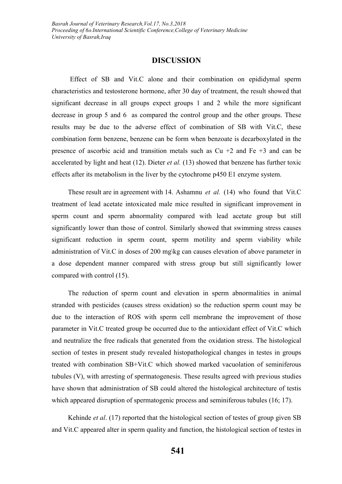#### **DISCUSSION**

Effect of SB and Vit.C alone and their combination on epididymal sperm characteristics and testosterone hormone, after 30 day of treatment, the result showed that significant decrease in all groups expect groups 1 and 2 while the more significant decrease in group 5 and 6 as compared the control group and the other groups. These results may be due to the adverse effect of combination of SB with Vit.C, these combination form benzene, benzene can be form when benzoate is decarboxylated in the presence of ascorbic acid and transition metals such as  $Cu +2$  and Fe  $+3$  and can be accelerated by light and heat (12). Dieter *et al.* (13) showed that benzene has further toxic effects after its metabolism in the liver by the cytochrome p450 E1 enzyme system.

These result are in agreement with 14. Ashamnu *et al.* (14) who found that Vit.C treatment of lead acetate intoxicated male mice resulted in significant improvement in sperm count and sperm abnormality compared with lead acetate group but still significantly lower than those of control. Similarly showed that swimming stress causes significant reduction in sperm count, sperm motility and sperm viability while administration of Vit.C in doses of 200 mg\kg can causes elevation of above parameter in a dose dependent manner compared with stress group but still significantly lower compared with control (15).

The reduction of sperm count and elevation in sperm abnormalities in animal stranded with pesticides (causes stress oxidation) so the reduction sperm count may be due to the interaction of ROS with sperm cell membrane the improvement of those parameter in Vit.C treated group be occurred due to the antioxidant effect of Vit.C which and neutralize the free radicals that generated from the oxidation stress. The histological section of testes in present study revealed histopathological changes in testes in groups treated with combination SB+Vit.C which showed marked vacuolation of seminiferous tubules (V), with arresting of spermatogenesis. These results agreed with previous studies have shown that administration of SB could altered the histological architecture of testis which appeared disruption of spermatogenic process and seminiferous tubules (16; 17).

Kehinde *et al*. (17) reported that the histological section of testes of group given SB and Vit.C appeared alter in sperm quality and function, the histological section of testes in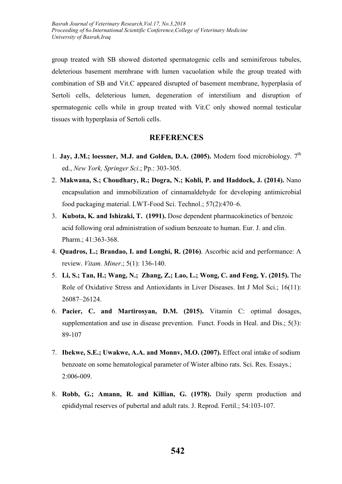group treated with SB showed distorted spermatogenic cells and seminiferous tubules, deleterious basement membrane with lumen vacuolation while the group treated with combination of SB and Vit.C appeared disrupted of basement membrane, hyperplasia of Sertoli cells, deleterious lumen, degeneration of interstilium and disruption of spermatogenic cells while in group treated with Vit.C only showed normal testicular tissues with hyperplasia of Sertoli cells.

### **REFERENCES**

- 1. **Jay, J.M.; loessner, M.J. and Golden, D.A. (2005).** Modern food microbiology. 7<sup>th</sup> ed., *New York, Springer Sci*.; Pp.: 303-305.
- 2. **Makwana, S.; Choudhary, R.; Dogra, N.; Kohli, P. and Haddock, J. (2014).** Nano encapsulation and immobilization of cinnamaldehyde for developing antimicrobial food packaging material. LWT-Food Sci. Technol.; 57(2):470–6.
- 3. **Kubota, K. and Ishizaki, T. (1991).** Dose dependent pharmacokinetics of benzoic acid following oral administration of sodium benzoate to human. Eur. J. and clin. Pharm.; 41:363-368.
- 4. **Quadros, L.; Brandao, I. and Longhi, R. (2016)**. Ascorbic acid and performance: A review. *Vitam. Miner*.; 5(1): 136-140.
- 5. **Li, S.; Tan, H.; Wang, N.; Zhang, Z.; Lao, L.; Wong, C. and Feng, Y. (2015).** The Role of Oxidative Stress and Antioxidants in Liver Diseases. Int J Mol Sci.; 16(11): 26087–26124.
- 6. **Pacier, C. and Martirosyan, D.M. (2015).** Vitamin C: optimal dosages, supplementation and use in disease prevention. Funct. Foods in Heal. and Dis.; 5(3): 89-107
- 7. **Ibekwe, S.E.; Uwakwe, A.A. and Monnv, M.O. (2007).** Effect oral intake of sodium benzoate on some hematological parameter of Wister albino rats. Sci. Res. Essays.; 2:006-009.
- 8. **Robb, G.; Amann, R. and Killian, G. (1978).** Daily sperm production and epididymal reserves of pubertal and adult rats. J. Reprod. Fertil.; 54:103-107.